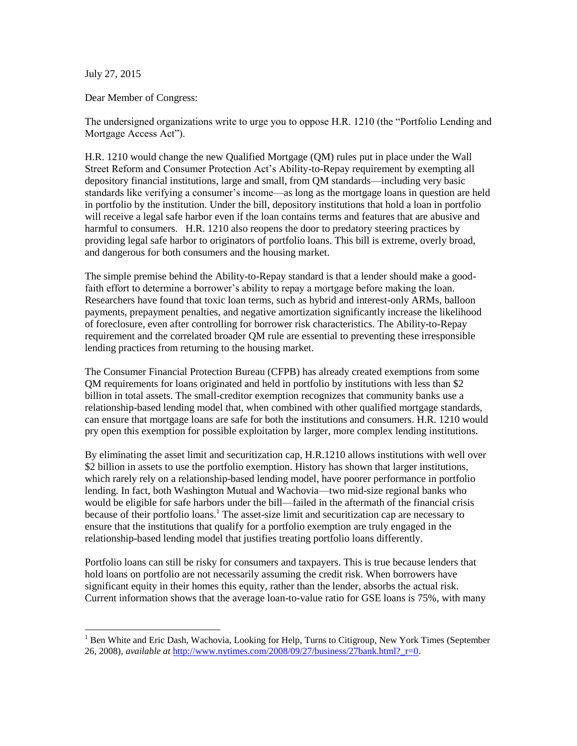July 27, 2015

 $\overline{a}$ 

Dear Member of Congress:

The undersigned organizations write to urge you to oppose H.R. 1210 (the "Portfolio Lending and Mortgage Access Act").

H.R. 1210 would change the new Qualified Mortgage (QM) rules put in place under the Wall Street Reform and Consumer Protection Act's Ability-to-Repay requirement by exempting all depository financial institutions, large and small, from QM standards—including very basic standards like verifying a consumer's income—as long as the mortgage loans in question are held in portfolio by the institution. Under the bill, depository institutions that hold a loan in portfolio will receive a legal safe harbor even if the loan contains terms and features that are abusive and harmful to consumers. H.R. 1210 also reopens the door to predatory steering practices by providing legal safe harbor to originators of portfolio loans. This bill is extreme, overly broad, and dangerous for both consumers and the housing market.

The simple premise behind the Ability-to-Repay standard is that a lender should make a goodfaith effort to determine a borrower's ability to repay a mortgage before making the loan. Researchers have found that toxic loan terms, such as hybrid and interest-only ARMs, balloon payments, prepayment penalties, and negative amortization significantly increase the likelihood of foreclosure, even after controlling for borrower risk characteristics. The Ability-to-Repay requirement and the correlated broader QM rule are essential to preventing these irresponsible lending practices from returning to the housing market.

The Consumer Financial Protection Bureau (CFPB) has already created exemptions from some QM requirements for loans originated and held in portfolio by institutions with less than \$2 billion in total assets. The small-creditor exemption recognizes that community banks use a relationship-based lending model that, when combined with other qualified mortgage standards, can ensure that mortgage loans are safe for both the institutions and consumers. H.R. 1210 would pry open this exemption for possible exploitation by larger, more complex lending institutions.

By eliminating the asset limit and securitization cap, H.R.1210 allows institutions with well over \$2 billion in assets to use the portfolio exemption. History has shown that larger institutions, which rarely rely on a relationship-based lending model, have poorer performance in portfolio lending. In fact, both Washington Mutual and Wachovia—two mid-size regional banks who would be eligible for safe harbors under the bill—failed in the aftermath of the financial crisis because of their portfolio loans.<sup>1</sup> The asset-size limit and securitization cap are necessary to ensure that the institutions that qualify for a portfolio exemption are truly engaged in the relationship-based lending model that justifies treating portfolio loans differently.

Portfolio loans can still be risky for consumers and taxpayers. This is true because lenders that hold loans on portfolio are not necessarily assuming the credit risk. When borrowers have significant equity in their homes this equity, rather than the lender, absorbs the actual risk. Current information shows that the average loan-to-value ratio for GSE loans is 75%, with many

<sup>&</sup>lt;sup>1</sup> Ben White and Eric Dash, Wachovia, Looking for Help, Turns to Citigroup, New York Times (September 26, 2008), *available at* [http://www.nytimes.com/2008/09/27/business/27bank.html?\\_r=0.](http://www.nytimes.com/2008/09/27/business/27bank.html?_r=0)